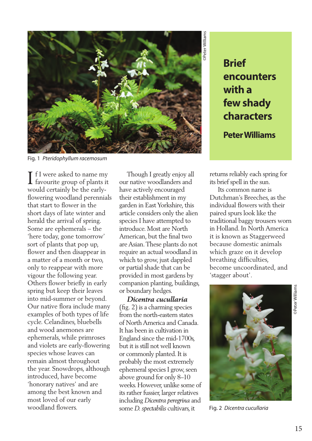

Fig. 1 *Pteridophyllum racemosum* 

If I were asked to name my<br>favourite group of plants it  $\perp$  favourite group of plants it would certainly be the earlyflowering woodland perennials that start to flower in the short days of late winter and herald the arrival of spring. Some are ephemerals – the 'here today, gone tomorrow' sort of plants that pop up, flower and then disappear in a matter of a month or two, only to reappear with more vigour the following year. Others flower briefly in early spring but keep their leaves into mid-summer or beyond. Our native flora include many examples of both types of life cycle. Celandines, bluebells and wood anemones are ephemerals, while primroses and violets are early-flowering species whose leaves can remain almost throughout the year. Snowdrops, although introduced, have become 'honorary natives' and are among the best known and most loved of our early woodland flowers.

 Though I greatly enjoy all our native woodlanders and have actively encouraged their establishment in my garden in East Yorkshire, this article considers only the alien species I have attempted to introduce. Most are North American, but the final two are Asian. These plants do not require an actual woodland in which to grow, just dappled or partial shade that can be provided in most gardens by companion planting, buildings, or boundary hedges.

 *Dicentra cucullaria* (fig. 2) is a charming species from the north-eastern states of North America and Canada. It has been in cultivation in England since the mid-1700s, but it is still not well known or commonly planted. It is probably the most extremely ephemeral species I grow, seen above ground for only 8–10 weeks. However, unlike some of its rather fussier, larger relatives including *Dicentra peregrina* and some *D. spectabilis* cultivars, it

## **encounters with a few shady characters**

**Peter Williams** 

returns reliably each spring for its brief spell in the sun.

 Its common name is Dutchman's Breeches, as the individual flowers with their paired spurs look like the traditional baggy trousers worn in Holland. In North America it is known as Staggerweed because domestic animals which graze on it develop breathing difficulties, become uncoordinated, and 'stagger about'.



Fig. 2 *Dicentra cucullaria*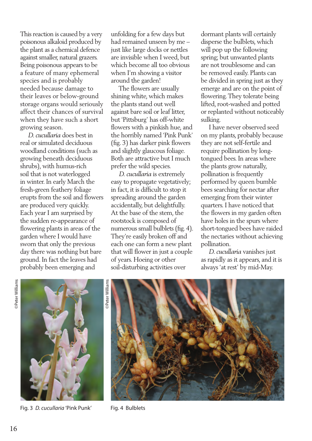This reaction is caused by a very poisonous alkaloid produced by the plant as a chemical defence against smaller, natural grazers. Being poisonous appears to be a feature of many ephemeral species and is probably needed because damage to their leaves or below-ground storage organs would seriously affect their chances of survival when they have such a short growing season.

 *D. cucullaria* does best in real or simulated deciduous woodland conditions (such as growing beneath deciduous shrubs), with humus-rich soil that is not waterlogged in winter. In early March the fresh-green feathery foliage erupts from the soil and flowers are produced very quickly. Each year I am surprised by the sudden re-appearance of flowering plants in areas of the garden where I would have sworn that only the previous day there was nothing but bare ground. In fact the leaves had probably been emerging and

unfolding for a few days but had remained unseen by me – just like large docks or nettles are invisible when I weed, but which become all too obvious when I'm showing a visitor around the garden!

 The flowers are usually shining white, which makes the plants stand out well against bare soil or leaf litter, but 'Pittsburg' has off-white flowers with a pinkish hue, and the horribly named 'Pink Punk' (fig. 3) has darker pink flowers and slightly glaucous foliage. Both are attractive but I much prefer the wild species.

 *D. cucullaria* is extremely easy to propagate vegetatively; in fact, it is difficult to stop it spreading around the garden accidentally, but delightfully. At the base of the stem, the rootstock is composed of numerous small bulblets (fig. 4). They're easily broken off and each one can form a new plant that will flower in just a couple of years. Hoeing or other soil-disturbing activities over

dormant plants will certainly disperse the bulblets, which will pop up the following spring; but unwanted plants are not troublesome and can be removed easily. Plants can be divided in spring just as they emerge and are on the point of flowering. They tolerate being lifted, root-washed and potted or replanted without noticeably sulking.

 I have never observed seed on my plants, probably because they are not self-fertile and require pollination by longtongued bees. In areas where the plants grow naturally, pollination is frequently performed by queen bumble bees searching for nectar after emerging from their winter quarters. I have noticed that the flowers in my garden often have holes in the spurs where short-tongued bees have raided the nectaries without achieving pollination.

 *D. cucullaria* vanishes just as rapidly as it appears, and it is always 'at rest' by mid-May.



Fig. 3 D. cucullaria 'Pink Punk' Fig. 4 Bulblets



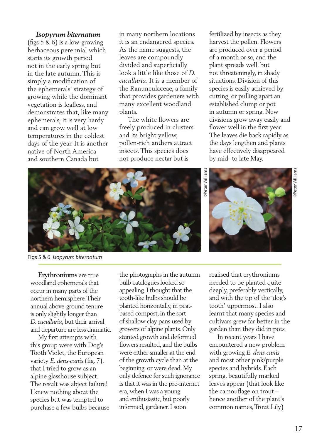## *Isopyrum biternatum*

(figs 5 & 6) is a low-growing herbaceous perennial which starts its growth period not in the early spring but in the late autumn. This is simply a modification of the ephemerals' strategy of growing while the dominant vegetation is leafless, and demonstrates that, like many ephemerals, it is very hardy and can grow well at low temperatures in the coldest days of the year. It is another native of North America and southern Canada but

in many northern locations it is an endangered species. As the name suggests, the leaves are compoundly divided and superficially look a little like those of *D. cucullaria*. It is a member of the Ranunculaceae, a family that provides gardeners with many excellent woodland plants.

 The white flowers are freely produced in clusters and its bright yellow, pollen-rich anthers attract insects. This species does not produce nectar but is

fertilized by insects as they harvest the pollen. Flowers are produced over a period of a month or so, and the plant spreads well, but not threateningly, in shady situations. Division of this species is easily achieved by cutting, or pulling apart an established clump or pot in autumn or spring. New divisions grow away easily and flower well in the first year. The leaves die back rapidly as the days lengthen and plants have effectively disappeared





Figs 5 & 6 *Isopyrum biternatum*

 **Erythroniums** are true woodland ephemerals that occur in many parts of the northern hemisphere. Their annual above-ground tenure is only slightly longer than *D. cucullaria*, but their arrival and departure are less dramatic.

 My first attempts with this group were with Dog's Tooth Violet, the European variety *E. dens-canis* (fig. 7), that I tried to grow as an alpine glasshouse subject. The result was abject failure! I knew nothing about the species but was tempted to purchase a few bulbs because the photographs in the autumn bulb catalogues looked so appealing. I thought that the tooth-like bulbs should be planted horizontally, in peatbased compost, in the sort of shallow clay pans used by growers of alpine plants. Only stunted growth and deformed flowers resulted, and the bulbs were either smaller at the end of the growth cycle than at the beginning, or were dead. My only defence for such ignorance is that it was in the pre-internet era, when I was a young and enthusiastic, but poorly informed, gardener. I soon

realised that erythroniums needed to be planted quite deeply, preferably vertically, and with the tip of the 'dog's tooth' uppermost. I also learnt that many species and cultivars grew far better in the garden than they did in pots.

 In recent years I have encountered a new problem with growing *E. dens-canis* and most other pink/purple species and hybrids. Each spring, beautifully marked leaves appear (that look like the camouflage on trout – hence another of the plant's common names, Trout Lily)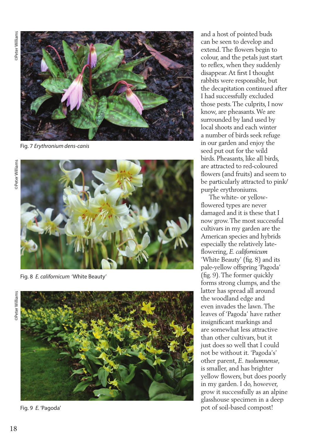

Fig. 7 *Erythronium dens-canis*



Fig. 8 *E. californicum* 'White Beauty'



Fig. 9 *E.* 'Pagoda'

and a host of pointed buds can be seen to develop and extend. The flowers begin to colour, and the petals just start to reflex, when they suddenly disappear. At first I thought rabbits were responsible, but the decapitation continued after I had successfully excluded those pests. The culprits, I now know, are pheasants. We are surrounded by land used by local shoots and each winter a number of birds seek refuge in our garden and enjoy the seed put out for the wild birds. Pheasants, like all birds, are attracted to red-coloured flowers (and fruits) and seem to be particularly attracted to pink/ purple erythroniums.

 The white- or yellowflowered types are never damaged and it is these that I now grow. The most successful cultivars in my garden are the American species and hybrids especially the relatively lateflowering, *E. californicum* 'White Beauty' (fig. 8) and its pale-yellow offspring 'Pagoda' (fig. 9). The former quickly forms strong clumps, and the latter has spread all around the woodland edge and even invades the lawn. The leaves of 'Pagoda' have rather insignificant markings and are somewhat less attractive than other cultivars, but it just does so well that I could not be without it. 'Pagoda's' other parent, *E. tuolumnense*, is smaller, and has brighter yellow flowers, but does poorly in my garden. I do, however, grow it successfully as an alpine glasshouse specimen in a deep pot of soil-based compost!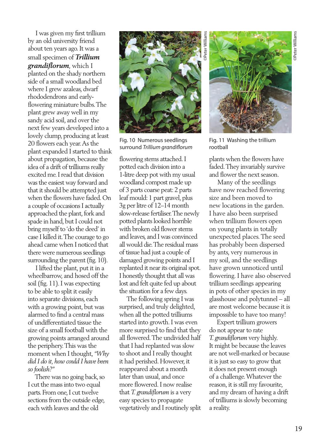I was given my first trillium by an old university friend about ten years ago. It was a small specimen of *Trillium grandiflorum*, which I planted on the shady northern side of a small woodland bed where I grew azaleas, dwarf rhododendrons and earlyflowering miniature bulbs. The plant grew away well in my sandy acid soil, and over the next few years developed into a lovely clump, producing at least 20 flowers each year. As the plant expanded I started to think about propagation, because the idea of a drift of trilliums really excited me. I read that division was the easiest way forward and that it should be attempted just when the flowers have faded. On a couple of occasions I actually approached the plant, fork and spade in hand, but I could not bring myself to 'do the deed' in case I killed it. The courage to go ahead came when I noticed that there were numerous seedlings surrounding the parent (fig. 10).

 I lifted the plant, put it in a wheelbarrow, and hosed off the soil (fig. 11). I was expecting to be able to split it easily into separate divisions, each with a growing point, but was alarmed to find a central mass of undifferentiated tissue the size of a small football with the growing points arranged around the periphery. This was the moment when I thought, *"Why did I do it, how could I have been so foolish?"* 

 There was no going back, so I cut the mass into two equal parts. From one, I cut twelve sections from the outside edge, each with leaves and the old



Fig. 10 Numerous seedlings surround *Trillium grandiflorum* 

flowering stems attached. I potted each division into a 1-litre deep pot with my usual woodland compost made up of 3 parts coarse peat: 2 parts leaf mould: 1 part gravel, plus 3g per litre of 12–14 month slow-release fertiliser. The newly potted plants looked horrible with broken old flower stems and leaves, and I was convinced all would die. The residual mass of tissue had just a couple of damaged growing points and I replanted it near its original spot. I honestly thought that all was lost and felt quite fed up about the situation for a few days.

 The following spring I was surprised, and truly delighted, when all the potted trilliums started into growth. I was even more surprised to find that they all flowered. The undivided half that I had replanted was slow to shoot and I really thought it had perished. However, it reappeared about a month later than usual, and once more flowered. I now realise that *T. grandiflorum* is a very easy species to propagate vegetatively and I routinely split

©Peter Williams Peter William:



Fig. 11 Washing the trillium rootball

plants when the flowers have faded. They invariably survive and flower the next season.

 Many of the seedlings have now reached flowering size and been moved to new locations in the garden. I have also been surprised when trillium flowers open on young plants in totally unexpected places. The seed has probably been dispersed by ants, very numerous in my soil, and the seedlings have grown unnoticed until flowering. I have also observed trillium seedlings appearing in pots of other species in my glasshouse and polytunnel – all are most welcome because it is impossible to have too many!

 Expert trillium growers do not appear to rate *T. grandiflorum* very highly. It might be because the leaves are not well-marked or because it is just so easy to grow that it does not present enough of a challenge. Whatever the reason, it is still my favourite, and my dream of having a drift of trilliums is slowly becoming a reality.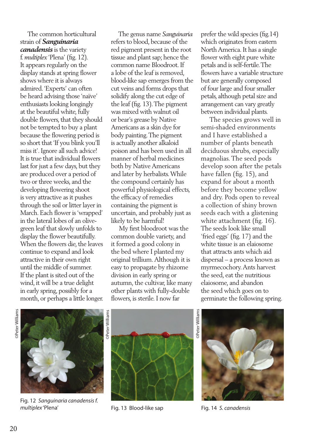The common horticultural strain of *Sanguinaria canadensis* is the variety f. *multiplex* 'Plena' (fig. 12). It appears regularly on the display stands at spring flower shows where it is always admired. 'Experts' can often be heard advising those 'naïve' enthusiasts looking longingly at the beautiful white, fully double flowers, that they should not be tempted to buy a plant because the flowering period is so short that 'If you blink you'll miss it'. Ignore all such advice! It is true that individual flowers last for just a few days, but they are produced over a period of two or three weeks, and the developing flowering shoot is very attractive as it pushes through the soil or litter layer in March. Each flower is 'wrapped' in the lateral lobes of an olivegreen leaf that slowly unfolds to display the flower beautifully. When the flowers die, the leaves continue to expand and look attractive in their own right until the middle of summer. If the plant is sited out of the wind, it will be a true delight in early spring, possibly for a month, or perhaps a little longer.

 The genus name *Sanguinaria* refers to blood, because of the red pigment present in the root tissue and plant sap; hence the common name Bloodroot. If a lobe of the leaf is removed, blood-like sap emerges from the cut veins and forms drops that solidify along the cut edge of the leaf (fig. 13). The pigment was mixed with walnut oil or bear's grease by Native Americans as a skin dye for body painting. The pigment is actually another alkaloid poison and has been used in all manner of herbal medicines both by Native Americans and later by herbalists. While the compound certainly has powerful physiological effects, the efficacy of remedies containing the pigment is uncertain, and probably just as likely to be harmful!

 My first bloodroot was the common double variety, and it formed a good colony in the bed where I planted my original trillium. Although it is easy to propagate by rhizome division in early spring or autumn, the cultivar, like many other plants with fully-double flowers, is sterile. I now far

prefer the wild species (fig.14) which originates from eastern North America. It has a single flower with eight pure white petals and is self-fertile. The flowers have a variable structure but are generally composed of four large and four smaller petals, although petal size and arrangement can vary greatly between individual plants.

 The species grows well in semi-shaded environments and I have established a number of plants beneath deciduous shrubs, especially magnolias. The seed pods develop soon after the petals have fallen (fig. 15), and expand for about a month before they become yellow and dry. Pods open to reveal a collection of shiny brown seeds each with a glistening white attachment (fig. 16). The seeds look like small 'fried eggs' (fig. 17) and the white tissue is an elaiosome that attracts ants which aid dispersal – a process known as myrmecochory. Ants harvest the seed, eat the nutritious elaiosome, and abandon the seed which goes on to germinate the following spring.



Fig. 12 *Sanguinaria canadensis f.* 



Fig. 13 Blood-like sap

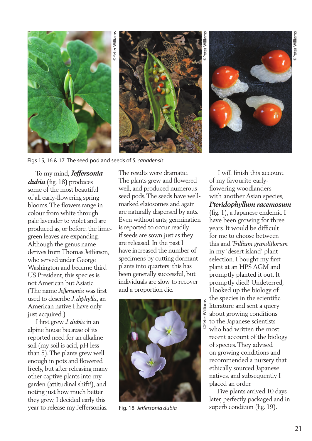

Figs 15, 16 & 17 The seed pod and seeds of *S. canadensis*

 To my mind, *Jeffersonia dubia* (fig. 18) produces some of the most beautiful of all early-flowering spring blooms. The flowers range in colour from white through pale lavender to violet and are produced as, or before, the limegreen leaves are expanding. Although the genus name derives from Thomas Jefferson, who served under George Washington and became third US President, this species is not American but Asiatic. (The name *Jeffersonia* was first used to describe *J. diphylla*, an American native I have only just acquired.)

 I first grew *J. dubia* in an alpine house because of its reported need for an alkaline soil (my soil is acid, pH less than 5). The plants grew well enough in pots and flowered freely, but after releasing many other captive plants into my garden (attitudinal shift!), and noting just how much better they grew, I decided early this year to release my Jeffersonias.

The results were dramatic. The plants grew and flowered well, and produced numerous seed pods. The seeds have wellmarked elaiosomes and again are naturally dispersed by ants. Even without ants, germination is reported to occur readily if seeds are sown just as they are released. In the past I have increased the number of specimens by cutting dormant plants into quarters; this has been generally successful, but individuals are slow to recover and a proportion die.



Fig. 18 *Jeffersonia dubia*

 I will finish this account of my favourite earlyflowering woodlanders with another Asian species, *Pteridophyllum racemosum*

(fig. 1), a Japanese endemic I have been growing for three years. It would be difficult for me to choose between this and *Trillium grandiflorum* in my 'desert island' plant selection. I bought my first plant at an HPS AGM and promptly planted it out. It promptly died! Undeterred, I looked up the biology of the species in the scientific literature and sent a query about growing conditions to the Japanese scientists who had written the most recent account of the biology of species. They advised on growing conditions and recommended a nursery that ethically sourced Japanese natives, and subsequently I placed an order.

 Five plants arrived 10 days later, perfectly packaged and in superb condition (fig. 19).